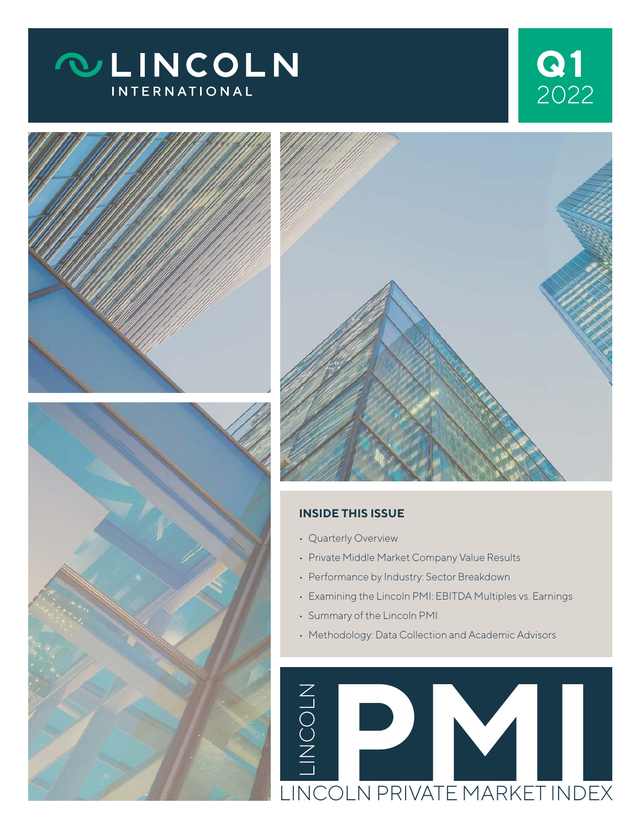## **QLINCOLN INTERNATIONAL**

# 2022 **1**







#### **INSIDE THIS ISSUE**

- Quarterly Overview
- Private Middle Market Company Value Results
- Performance by Industry: Sector Breakdown
- Examining the Lincoln PMI: EBITDA Multiples vs. Earnings
- Summary of the Lincoln PMI
- Methodology: Data Collection and Academic Advisors

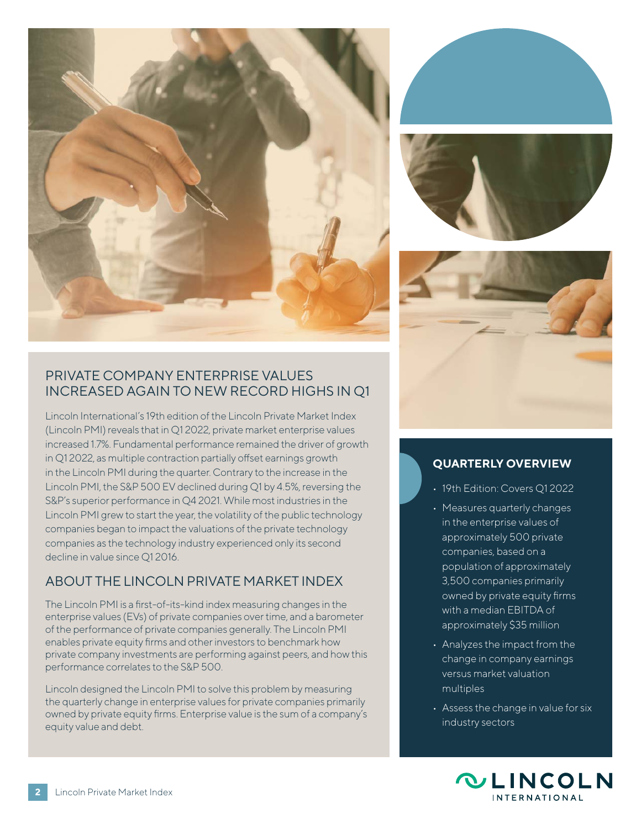







#### PRIVATE COMPANY ENTERPRISE VALUES INCREASED AGAIN TO NEW RECORD HIGHS IN Q1

Lincoln International's 19th edition of the Lincoln Private Market Index (Lincoln PMI) reveals that in Q1 2022, private market enterprise values increased 1.7%. Fundamental performance remained the driver of growth in Q1 2022, as multiple contraction partially offset earnings growth in the Lincoln PMI during the quarter. Contrary to the increase in the Lincoln PMI, the S&P 500 EV declined during Q1 by 4.5%, reversing the S&P's superior performance in Q4 2021. While most industries in the Lincoln PMI grew to start the year, the volatility of the public technology companies began to impact the valuations of the private technology companies as the technology industry experienced only its second decline in value since Q1 2016.

### ABOUT THE LINCOLN PRIVATE MARKET INDEX

The Lincoln PMI is a first-of-its-kind index measuring changes in the enterprise values (EVs) of private companies over time, and a barometer of the performance of private companies generally. The Lincoln PMI enables private equity firms and other investors to benchmark how private company investments are performing against peers, and how this performance correlates to the S&P 500.

Lincoln designed the Lincoln PMI to solve this problem by measuring the quarterly change in enterprise values for private companies primarily owned by private equity firms. Enterprise value is the sum of a company's equity value and debt.

#### **QUARTERLY OVERVIEW**

- 19th Edition: Covers Q1 2022
- Measures quarterly changes in the enterprise values of approximately 500 private companies, based on a population of approximately 3,500 companies primarily owned by private equity firms with a median EBITDA of approximately \$35 million
- Analyzes the impact from the change in company earnings versus market valuation multiples
- Assess the change in value for six industry sectors

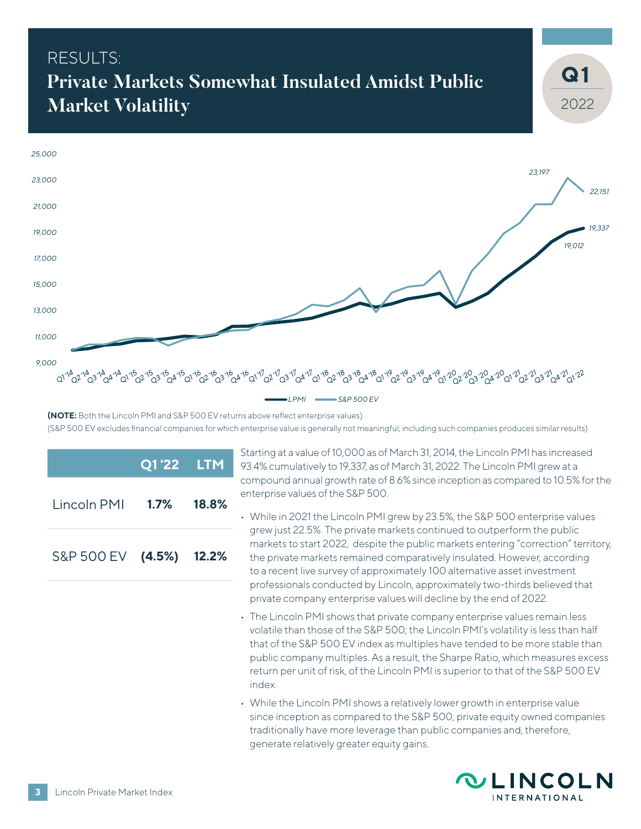### RESULTS<sup>.</sup> **Private Markets Somewhat Insulated Amidst Public Market Volatility**



**(NOTE:** Both the Lincoln PMI and S&P 500 EV returns above reflect enterprise values) (S&P 500 EV excludes financial companies for which enterprise value is generally not meaningful; including such companies produces similar results)

|                         | Q1'22 LTM  |  |
|-------------------------|------------|--|
| Lincoln PMI             | 1.7% 18.8% |  |
| S&P 500 EV (4.5%) 12.2% |            |  |

Starting at a value of 10,000 as of March 31, 2014, the Lincoln PMI has increased 93.4% cumulatively to 19,337, as of March 31, 2022. The Lincoln PMI grew at a compound annual growth rate of 8.6% since inception as compared to 10.5% for the enterprise values of the S&P 500.

- While in 2021 the Lincoln PMI grew by 23.5%, the S&P 500 enterprise values grew just 22.5%. The private markets continued to outperform the public markets to start 2022, despite the public markets entering "correction" territory, the private markets remained comparatively insulated. However, according to a recent live survey of approximately 100 alternative asset investment professionals conducted by Lincoln, approximately two-thirds believed that private company enterprise values will decline by the end of 2022.
- The Lincoln PMI shows that private company enterprise values remain less volatile than those of the S&P 500; the Lincoln PMI's volatility is less than half that of the S&P 500 EV index as multiples have tended to be more stable than public company multiples. As a result, the Sharpe Ratio, which measures excess return per unit of risk, of the Lincoln PMI is superior to that of the S&P 500 EV index.
- While the Lincoln PMI shows a relatively lower growth in enterprise value since inception as compared to the S&P 500, private equity owned companies traditionally have more leverage than public companies and, therefore, generate relatively greater equity gains.



2022

**1**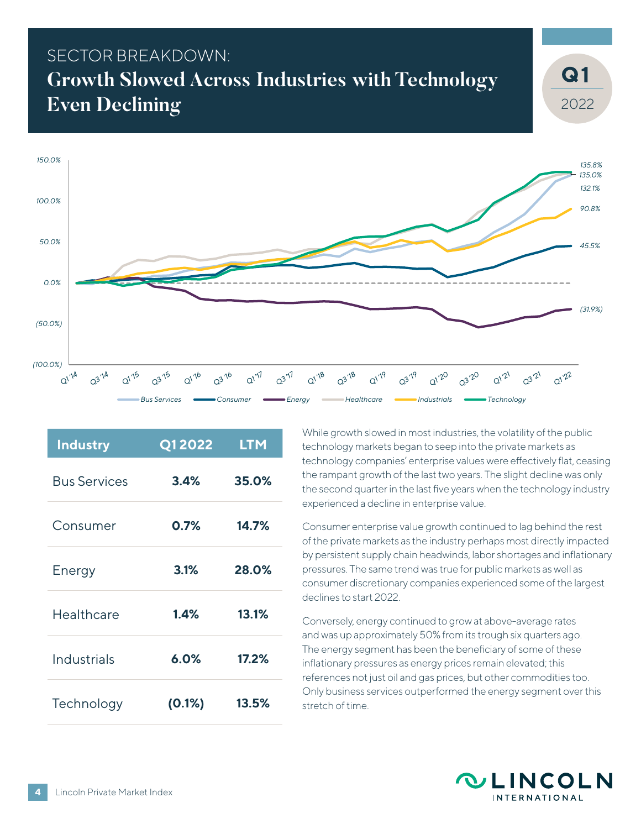### SECTOR BREAKDOWN: **Growth Slowed Across Industries with Technology Even Declining**



| <b>Industry</b>     | Q12022    | <b>LTM</b> |
|---------------------|-----------|------------|
| <b>Bus Services</b> | 3.4%      | 35.0%      |
| Consumer            | 0.7%      | 14.7%      |
| Energy              | 3.1%      | 28.0%      |
| Healthcare          | 1.4%      | 13.1%      |
| Industrials         | 6.0%      | 17.2%      |
| Technology          | $(0.1\%)$ | 13.5%      |

While growth slowed in most industries, the volatility of the public technology markets began to seep into the private markets as technology companies' enterprise values were effectively flat, ceasing the rampant growth of the last two years. The slight decline was only the second quarter in the last five years when the technology industry experienced a decline in enterprise value.

Consumer enterprise value growth continued to lag behind the rest of the private markets as the industry perhaps most directly impacted by persistent supply chain headwinds, labor shortages and inflationary pressures. The same trend was true for public markets as well as consumer discretionary companies experienced some of the largest declines to start 2022.

Conversely, energy continued to grow at above-average rates and was up approximately 50% from its trough six quarters ago. The energy segment has been the beneficiary of some of these inflationary pressures as energy prices remain elevated; this references not just oil and gas prices, but other commodities too. Only business services outperformed the energy segment over this stretch of time.



2022

**1**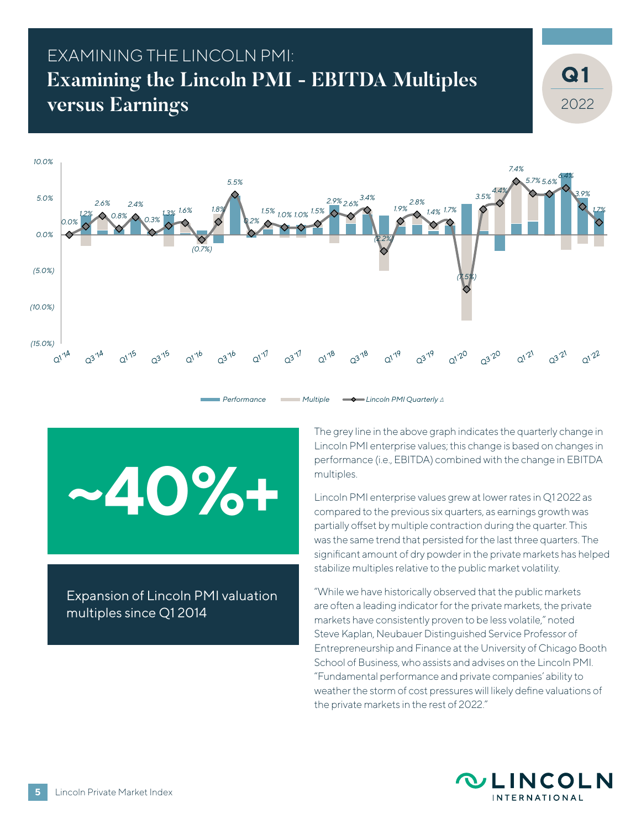### EXAMINING THE LINCOLN PMI: **Examining the Lincoln PMI - EBITDA Multiples versus Earnings**



**~40%+**

Expansion of Lincoln PMI valuation multiples since Q1 2014

The grey line in the above graph indicates the quarterly change in Lincoln PMI enterprise values; this change is based on changes in performance (i.e., EBITDA) combined with the change in EBITDA multiples.

Lincoln PMI enterprise values grew at lower rates in Q1 2022 as compared to the previous six quarters, as earnings growth was partially offset by multiple contraction during the quarter. This was the same trend that persisted for the last three quarters. The significant amount of dry powder in the private markets has helped stabilize multiples relative to the public market volatility.

"While we have historically observed that the public markets are often a leading indicator for the private markets, the private markets have consistently proven to be less volatile," noted Steve Kaplan, Neubauer Distinguished Service Professor of Entrepreneurship and Finance at the University of Chicago Booth School of Business, who assists and advises on the Lincoln PMI. "Fundamental performance and private companies' ability to weather the storm of cost pressures will likely define valuations of the private markets in the rest of 2022."



2022

**1**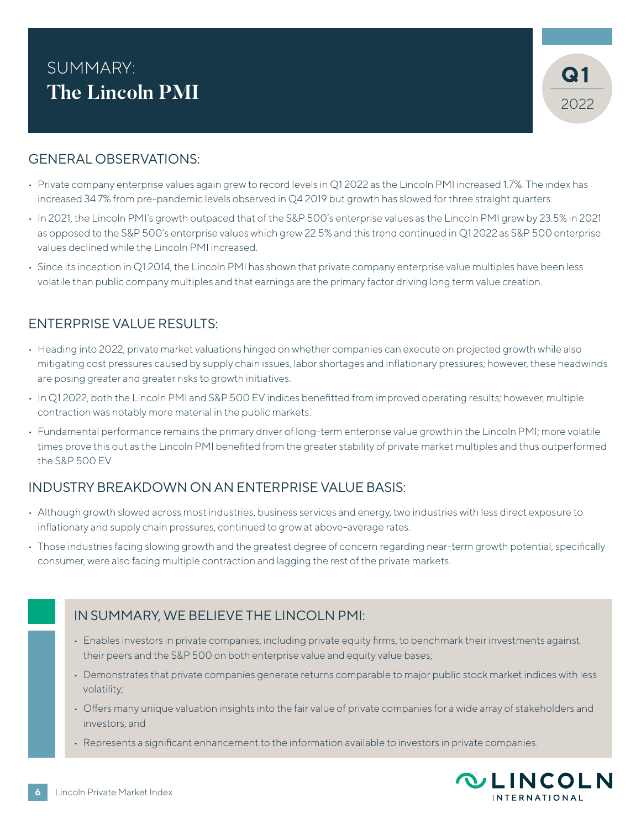### **1** SUMMARY: **The Lincoln PMI**



#### GENERAL OBSERVATIONS:

- Private company enterprise values again grew to record levels in Q1 2022 as the Lincoln PMI increased 1.7%. The index has increased 34.7% from pre-pandemic levels observed in Q4 2019 but growth has slowed for three straight quarters.
- In 2021, the Lincoln PMI's growth outpaced that of the S&P 500's enterprise values as the Lincoln PMI grew by 23.5% in 2021 as opposed to the S&P 500's enterprise values which grew 22.5% and this trend continued in Q1 2022 as S&P 500 enterprise values declined while the Lincoln PMI increased.
- Since its inception in Q1 2014, the Lincoln PMI has shown that private company enterprise value multiples have been less volatile than public company multiples and that earnings are the primary factor driving long term value creation.

#### ENTERPRISE VALUE RESULTS:

- Heading into 2022, private market valuations hinged on whether companies can execute on projected growth while also mitigating cost pressures caused by supply chain issues, labor shortages and inflationary pressures; however, these headwinds are posing greater and greater risks to growth initiatives.
- In Q1 2022, both the Lincoln PMI and S&P 500 EV indices benefitted from improved operating results; however, multiple contraction was notably more material in the public markets.
- Fundamental performance remains the primary driver of long-term enterprise value growth in the Lincoln PMI; more volatile times prove this out as the Lincoln PMI benefited from the greater stability of private market multiples and thus outperformed the S&P 500 EV.

#### INDUSTRY BREAKDOWN ON AN ENTERPRISE VALUE BASIS:

- Although growth slowed across most industries, business services and energy, two industries with less direct exposure to inflationary and supply chain pressures, continued to grow at above-average rates.
- Those industries facing slowing growth and the greatest degree of concern regarding near-term growth potential, specifically consumer, were also facing multiple contraction and lagging the rest of the private markets.



- Enables investors in private companies, including private equity firms, to benchmark their investments against their peers and the S&P 500 on both enterprise value and equity value bases;
- Demonstrates that private companies generate returns comparable to major public stock market indices with less volatility;
- Offers many unique valuation insights into the fair value of private companies for a wide array of stakeholders and investors; and
- Represents a significant enhancement to the information available to investors in private companies.

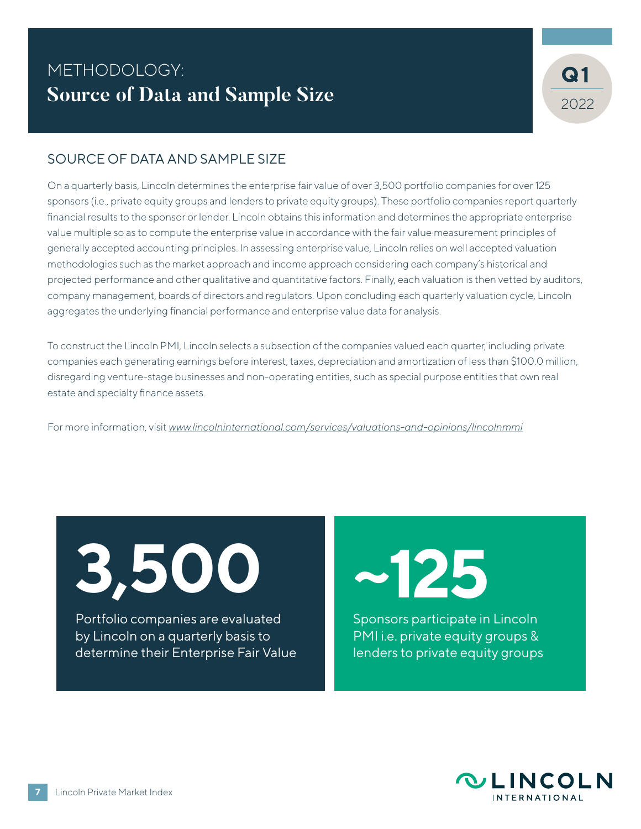### METHODOLOGY: **1 Source of Data and Sample Size**



#### SOURCE OF DATA AND SAMPLE SIZE

On a quarterly basis, Lincoln determines the enterprise fair value of over 3,500 portfolio companies for over 125 sponsors (i.e., private equity groups and lenders to private equity groups). These portfolio companies report quarterly financial results to the sponsor or lender. Lincoln obtains this information and determines the appropriate enterprise value multiple so as to compute the enterprise value in accordance with the fair value measurement principles of generally accepted accounting principles. In assessing enterprise value, Lincoln relies on well accepted valuation methodologies such as the market approach and income approach considering each company's historical and projected performance and other qualitative and quantitative factors. Finally, each valuation is then vetted by auditors, company management, boards of directors and regulators. Upon concluding each quarterly valuation cycle, Lincoln aggregates the underlying financial performance and enterprise value data for analysis.

To construct the Lincoln PMI, Lincoln selects a subsection of the companies valued each quarter, including private companies each generating earnings before interest, taxes, depreciation and amortization of less than \$100.0 million, disregarding venture-stage businesses and non-operating entities, such as special purpose entities that own real estate and specialty finance assets.

For more information, visit *[www.lincolninternational.com/services/valuations-and-opinions/lincolnmmi](http://www.lincolninternational.com/services/valuations-and-opinions/lincolnpmi)*

**3,500**

Portfolio companies are evaluated by Lincoln on a quarterly basis to determine their Enterprise Fair Value **~125**

Sponsors participate in Lincoln PMI i.e. private equity groups & lenders to private equity groups

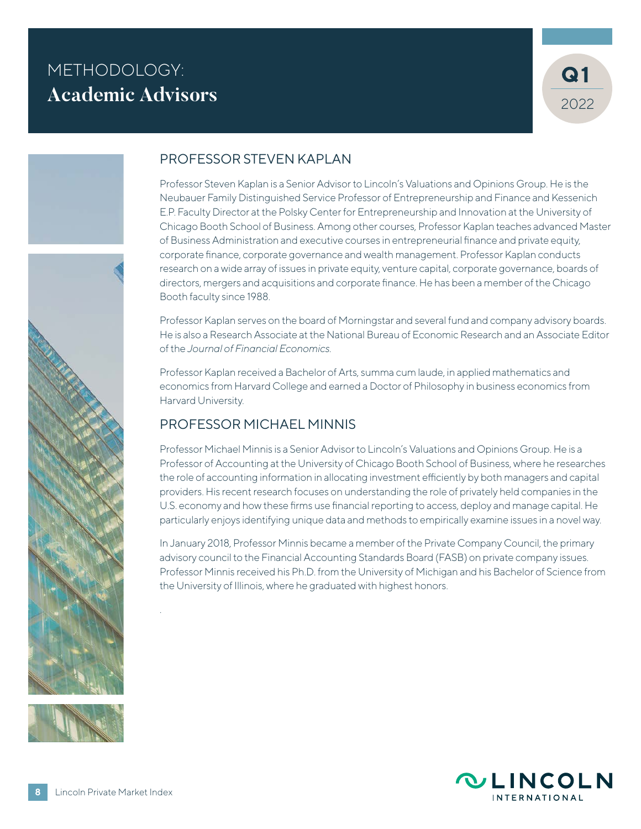### METHODOLOGY: **Academic Advisors**







#### PROFESSOR STEVEN KAPLAN

Professor Steven Kaplan is a Senior Advisor to Lincoln's Valuations and Opinions Group. He is the Neubauer Family Distinguished Service Professor of Entrepreneurship and Finance and Kessenich E.P. Faculty Director at the Polsky Center for Entrepreneurship and Innovation at the University of Chicago Booth School of Business. Among other courses, Professor Kaplan teaches advanced Master of Business Administration and executive courses in entrepreneurial finance and private equity, corporate finance, corporate governance and wealth management. Professor Kaplan conducts research on a wide array of issues in private equity, venture capital, corporate governance, boards of directors, mergers and acquisitions and corporate finance. He has been a member of the Chicago Booth faculty since 1988.

Professor Kaplan serves on the board of Morningstar and several fund and company advisory boards. He is also a Research Associate at the National Bureau of Economic Research and an Associate Editor of the *Journal of Financial Economics.*

Professor Kaplan received a Bachelor of Arts, summa cum laude, in applied mathematics and economics from Harvard College and earned a Doctor of Philosophy in business economics from Harvard University.

#### PROFESSOR MICHAEL MINNIS

Professor Michael Minnis is a Senior Advisor to Lincoln's Valuations and Opinions Group. He is a Professor of Accounting at the University of Chicago Booth School of Business, where he researches the role of accounting information in allocating investment efficiently by both managers and capital providers. His recent research focuses on understanding the role of privately held companies in the U.S. economy and how these firms use financial reporting to access, deploy and manage capital. He particularly enjoys identifying unique data and methods to empirically examine issues in a novel way.

In January 2018, Professor Minnis became a member of the Private Company Council, the primary advisory council to the Financial Accounting Standards Board (FASB) on private company issues. Professor Minnis received his Ph.D. from the University of Michigan and his Bachelor of Science from the University of Illinois, where he graduated with highest honors.



.